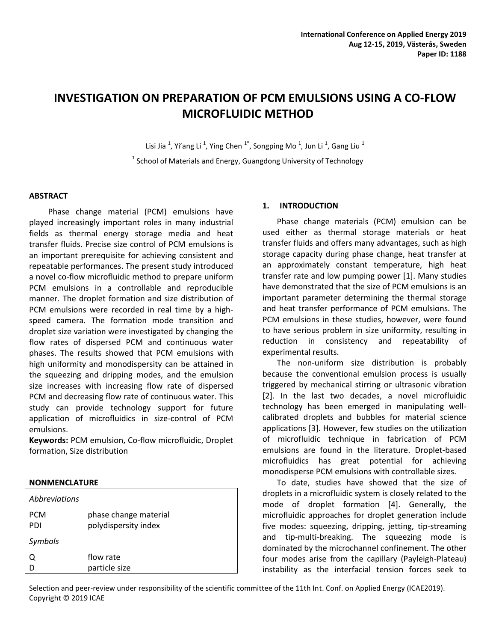# **INVESTIGATION ON PREPARATION OF PCM EMULSIONS USING A CO-FLOW MICROFLUIDIC METHOD**

Lisi Jia  $^1$ , Yi'ang Li  $^1$ , Ying Chen  $^{1*}$ , Songping Mo  $^1$ , Jun Li  $^1$ , Gang Liu  $^1$  $<sup>1</sup>$  School of Materials and Energy, Guangdong University of Technology</sup>

### **ABSTRACT**

Phase change material (PCM) emulsions have played increasingly important roles in many industrial fields as thermal energy storage media and heat transfer fluids. Precise size control of PCM emulsions is an important prerequisite for achieving consistent and repeatable performances. The present study introduced a novel co-flow microfluidic method to prepare uniform PCM emulsions in a controllable and reproducible manner. The droplet formation and size distribution of PCM emulsions were recorded in real time by a highspeed camera. The formation mode transition and droplet size variation were investigated by changing the flow rates of dispersed PCM and continuous water phases. The results showed that PCM emulsions with high uniformity and monodispersity can be attained in the squeezing and dripping modes, and the emulsion size increases with increasing flow rate of dispersed PCM and decreasing flow rate of continuous water. This study can provide technology support for future application of microfluidics in size-control of PCM emulsions.

**Keywords:** PCM emulsion, Co-flow microfluidic, Droplet formation, Size distribution

#### **NONMENCLATURE**

| Abbreviations     |                                               |
|-------------------|-----------------------------------------------|
| <b>PCM</b><br>PDI | phase change material<br>polydispersity index |
| Symbols           |                                               |
| Q<br>D            | flow rate<br>particle size                    |
|                   |                                               |

### **1. INTRODUCTION**

Phase change materials (PCM) emulsion can be used either as thermal storage materials or heat transfer fluids and offers many advantages, such as high storage capacity during phase change, heat transfer at an approximately constant temperature, high heat transfer rate and low pumping power [1]. Many studies have demonstrated that the size of PCM emulsions is an important parameter determining the thermal storage and heat transfer performance of PCM emulsions. The PCM emulsions in these studies, however, were found to have serious problem in size uniformity, resulting in reduction in consistency and repeatability of experimental results.

The non-uniform size distribution is probably because the conventional emulsion process is usually triggered by mechanical stirring or ultrasonic vibration [2]. In the last two decades, a novel microfluidic technology has been emerged in manipulating wellcalibrated droplets and bubbles for material science applications [3]. However, few studies on the utilization of microfluidic technique in fabrication of PCM emulsions are found in the literature. Droplet-based microfluidics has great potential for achieving monodisperse PCM emulsions with controllable sizes.

To date, studies have showed that the size of droplets in a microfluidic system is closely related to the mode of droplet formation [4]. Generally, the microfluidic approaches for droplet generation include five modes: squeezing, dripping, jetting, tip-streaming and tip-multi-breaking. The squeezing mode is dominated by the microchannel confinement. The other four modes arise from the capillary (Payleigh-Plateau) instability as the interfacial tension forces seek to

Selection and peer-review under responsibility of the scientific committee of the 11th Int. Conf. on Applied Energy (ICAE2019). Copyright © 2019 ICAE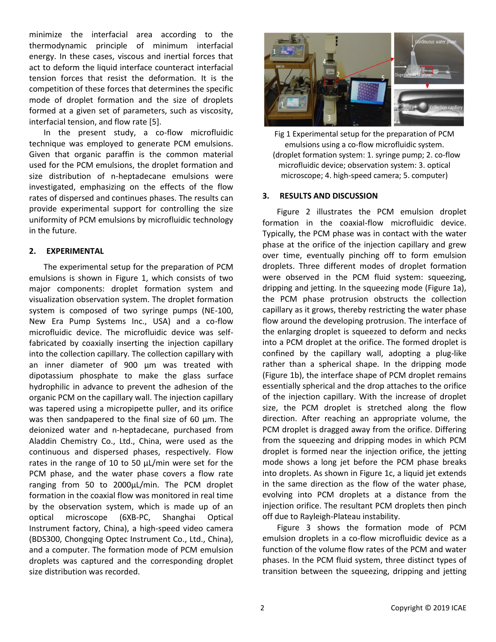minimize the interfacial area according to the thermodynamic principle of minimum interfacial energy. In these cases, viscous and inertial forces that act to deform the liquid interface counteract interfacial tension forces that resist the deformation. It is the competition of these forces that determines the specific mode of droplet formation and the size of droplets formed at a given set of parameters, such as viscosity, interfacial tension, and flow rate [5].

In the present study, a co-flow microfluidic technique was employed to generate PCM emulsions. Given that organic paraffin is the common material used for the PCM emulsions, the droplet formation and size distribution of n-heptadecane emulsions were investigated, emphasizing on the effects of the flow rates of dispersed and continues phases. The results can provide experimental support for controlling the size uniformity of PCM emulsions by microfluidic technology in the future.

## **2. EXPERIMENTAL**

The experimental setup for the preparation of PCM emulsions is shown in Figure 1, which consists of two major components: droplet formation system and visualization observation system. The droplet formation system is composed of two syringe pumps (NE-100, New Era Pump Systems Inc., USA) and a co-flow microfluidic device. The microfluidic device was selffabricated by coaxially inserting the injection capillary into the collection capillary. The collection capillary with an inner diameter of 900 μm was treated with dipotassium phosphate to make the glass surface hydrophilic in advance to prevent the adhesion of the organic PCM on the capillary wall. The injection capillary was tapered using a micropipette puller, and its orifice was then sandpapered to the final size of 60 μm. The deionized water and n-heptadecane, purchased from Aladdin Chemistry Co., Ltd., China, were used as the continuous and dispersed phases, respectively. Flow rates in the range of 10 to 50 μL/min were set for the PCM phase, and the water phase covers a flow rate ranging from 50 to 2000μL/min. The PCM droplet formation in the coaxial flow was monitored in real time by the observation system, which is made up of an optical microscope (6XB-PC, Shanghai Optical Instrument factory, China), a high-speed video camera (BDS300, Chongqing Optec Instrument Co., Ltd., China), and a computer. The formation mode of PCM emulsion droplets was captured and the corresponding droplet size distribution was recorded.



Fig 1 Experimental setup for the preparation of PCM emulsions using a co-flow microfluidic system. (droplet formation system: 1. syringe pump; 2. co-flow microfluidic device; observation system: 3. optical microscope; 4. high-speed camera; 5. computer)

## **3. RESULTS AND DISCUSSION**

Figure 2 illustrates the PCM emulsion droplet formation in the coaxial-flow microfluidic device. Typically, the PCM phase was in contact with the water phase at the orifice of the injection capillary and grew over time, eventually pinching off to form emulsion droplets. Three different modes of droplet formation were observed in the PCM fluid system: squeezing, dripping and jetting. In the squeezing mode (Figure 1a), the PCM phase protrusion obstructs the collection capillary as it grows, thereby restricting the water phase flow around the developing protrusion. The interface of the enlarging droplet is squeezed to deform and necks into a PCM droplet at the orifice. The formed droplet is confined by the capillary wall, adopting a plug-like rather than a spherical shape. In the dripping mode (Figure 1b), the interface shape of PCM droplet remains essentially spherical and the drop attaches to the orifice of the injection capillary. With the increase of droplet size, the PCM droplet is stretched along the flow direction. After reaching an appropriate volume, the PCM droplet is dragged away from the orifice. Differing from the squeezing and dripping modes in which PCM droplet is formed near the injection orifice, the jetting mode shows a long jet before the PCM phase breaks into droplets. As shown in Figure 1c, a liquid jet extends in the same direction as the flow of the water phase, evolving into PCM droplets at a distance from the injection orifice. The resultant PCM droplets then pinch off due to Rayleigh-Plateau instability.

Figure 3 shows the formation mode of PCM emulsion droplets in a co-flow microfluidic device as a function of the volume flow rates of the PCM and water phases. In the PCM fluid system, three distinct types of transition between the squeezing, dripping and jetting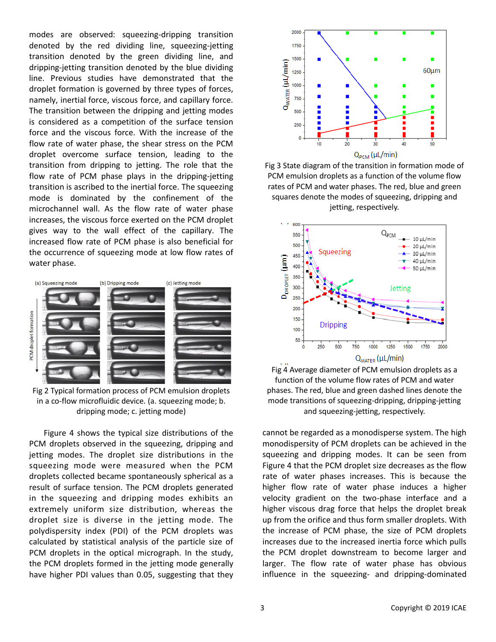modes are observed: squeezing-dripping transition denoted by the red dividing line, squeezing-jetting transition denoted by the green dividing line, and dripping-jetting transition denoted by the blue dividing line. Previous studies have demonstrated that the droplet formation is governed by three types of forces, namely, inertial force, viscous force, and capillary force. The transition between the dripping and jetting modes is considered as a competition of the surface tension force and the viscous force. With the increase of the flow rate of water phase, the shear stress on the PCM droplet overcome surface tension, leading to the transition from dripping to jetting. The role that the flow rate of PCM phase plays in the dripping-jetting transition is ascribed to the inertial force. The squeezing mode is dominated by the confinement of the microchannel wall. As the flow rate of water phase increases, the viscous force exerted on the PCM droplet gives way to the wall effect of the capillary. The increased flow rate of PCM phase is also beneficial for the occurrence of squeezing mode at low flow rates of water phase.



Fig 2 Typical formation process of PCM emulsion droplets in a co-flow microfluidic device. (a. squeezing mode; b. dripping mode; c. jetting mode)

Figure 4 shows the typical size distributions of the PCM droplets observed in the squeezing, dripping and jetting modes. The droplet size distributions in the squeezing mode were measured when the PCM droplets collected became spontaneously spherical as a result of surface tension. The PCM droplets generated in the squeezing and dripping modes exhibits an extremely uniform size distribution, whereas the droplet size is diverse in the jetting mode. The polydispersity index (PDI) of the PCM droplets was calculated by statistical analysis of the particle size of PCM droplets in the optical micrograph. In the study, the PCM droplets formed in the jetting mode generally have higher PDI values than 0.05, suggesting that they



Fig 3 State diagram of the transition in formation mode of PCM emulsion droplets as a function of the volume flow rates of PCM and water phases. The red, blue and green squares denote the modes of squeezing, dripping and jetting, respectively.



Fig 4 Average diameter of PCM emulsion droplets as a function of the volume flow rates of PCM and water phases. The red, blue and green dashed lines denote the mode transitions of squeezing-dripping, dripping-jetting and squeezing-jetting, respectively.

cannot be regarded as a monodisperse system. The high monodispersity of PCM droplets can be achieved in the squeezing and dripping modes. It can be seen from Figure 4 that the PCM droplet size decreases as the flow rate of water phases increases. This is because the higher flow rate of water phase induces a higher velocity gradient on the two-phase interface and a higher viscous drag force that helps the droplet break up from the orifice and thus form smaller droplets. With the increase of PCM phase, the size of PCM droplets increases due to the increased inertia force which pulls the PCM droplet downstream to become larger and larger. The flow rate of water phase has obvious influence in the squeezing- and dripping-dominated